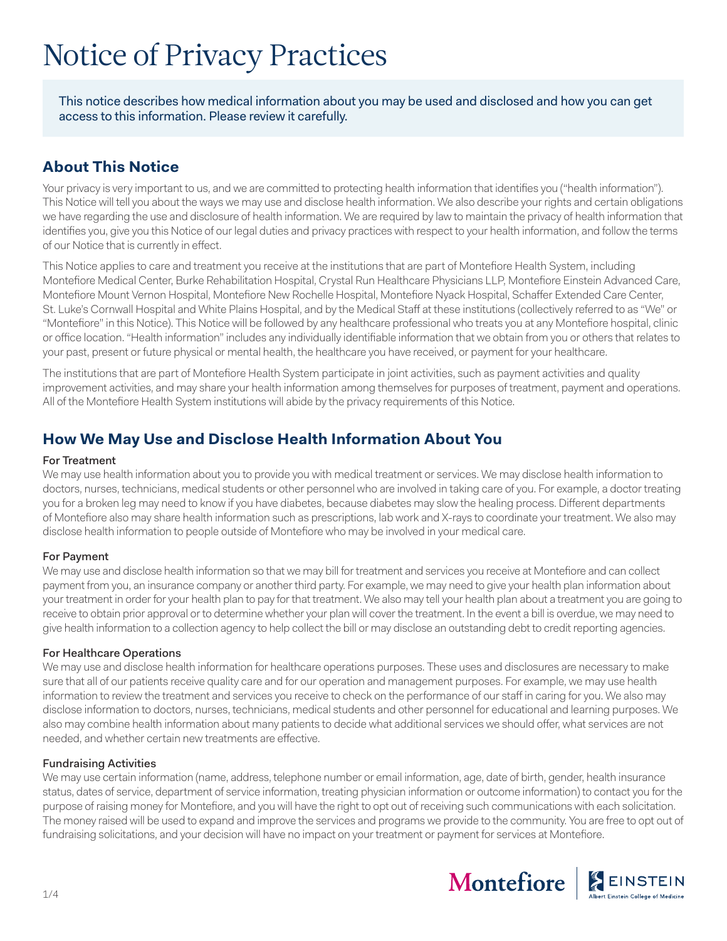# Notice of Privacy Practices

This notice describes how medical information about you may be used and disclosed and how you can get access to this information. Please review it carefully.

# **About This Notice**

Your privacy is very important to us, and we are committed to protecting health information that identifies you ("health information"). This Notice will tell you about the ways we may use and disclose health information. We also describe your rights and certain obligations we have regarding the use and disclosure of health information. We are required by law to maintain the privacy of health information that identifies you, give you this Notice of our legal duties and privacy practices with respect to your health information, and follow the terms of our Notice that is currently in effect.

This Notice applies to care and treatment you receive at the institutions that are part of Montefiore Health System, including Montefiore Medical Center, Burke Rehabilitation Hospital, Crystal Run Healthcare Physicians LLP, Montefiore Einstein Advanced Care, Montefiore Mount Vernon Hospital, Montefiore New Rochelle Hospital, Montefiore Nyack Hospital, Schaffer Extended Care Center, St. Luke's Cornwall Hospital and White Plains Hospital, and by the Medical Staff at these institutions (collectively referred to as "We" or "Montefiore" in this Notice). This Notice will be followed by any healthcare professional who treats you at any Montefiore hospital, clinic or office location. "Health information" includes any individually identifiable information that we obtain from you or others that relates to your past, present or future physical or mental health, the healthcare you have received, or payment for your healthcare.

The institutions that are part of Montefiore Health System participate in joint activities, such as payment activities and quality improvement activities, and may share your health information among themselves for purposes of treatment, payment and operations. All of the Montefiore Health System institutions will abide by the privacy requirements of this Notice.

# **How We May Use and Disclose Health Information About You**

#### For Treatment

We may use health information about you to provide you with medical treatment or services. We may disclose health information to doctors, nurses, technicians, medical students or other personnel who are involved in taking care of you. For example, a doctor treating you for a broken leg may need to know if you have diabetes, because diabetes may slow the healing process. Different departments of Montefiore also may share health information such as prescriptions, lab work and X-rays to coordinate your treatment. We also may disclose health information to people outside of Montefiore who may be involved in your medical care.

# For Payment

We may use and disclose health information so that we may bill for treatment and services you receive at Montefiore and can collect payment from you, an insurance company or another third party. For example, we may need to give your health plan information about your treatment in order for your health plan to pay for that treatment. We also may tell your health plan about a treatment you are going to receive to obtain prior approval or to determine whether your plan will cover the treatment. In the event a bill is overdue, we may need to give health information to a collection agency to help collect the bill or may disclose an outstanding debt to credit reporting agencies.

# For Healthcare Operations

We may use and disclose health information for healthcare operations purposes. These uses and disclosures are necessary to make sure that all of our patients receive quality care and for our operation and management purposes. For example, we may use health information to review the treatment and services you receive to check on the performance of our staff in caring for you. We also may disclose information to doctors, nurses, technicians, medical students and other personnel for educational and learning purposes. We also may combine health information about many patients to decide what additional services we should offer, what services are not needed, and whether certain new treatments are effective.

# Fundraising Activities

We may use certain information (name, address, telephone number or email information, age, date of birth, gender, health insurance status, dates of service, department of service information, treating physician information or outcome information) to contact you for the purpose of raising money for Montefiore, and you will have the right to opt out of receiving such communications with each solicitation. The money raised will be used to expand and improve the services and programs we provide to the community. You are free to opt out of fundraising solicitations, and your decision will have no impact on your treatment or payment for services at Montefiore.

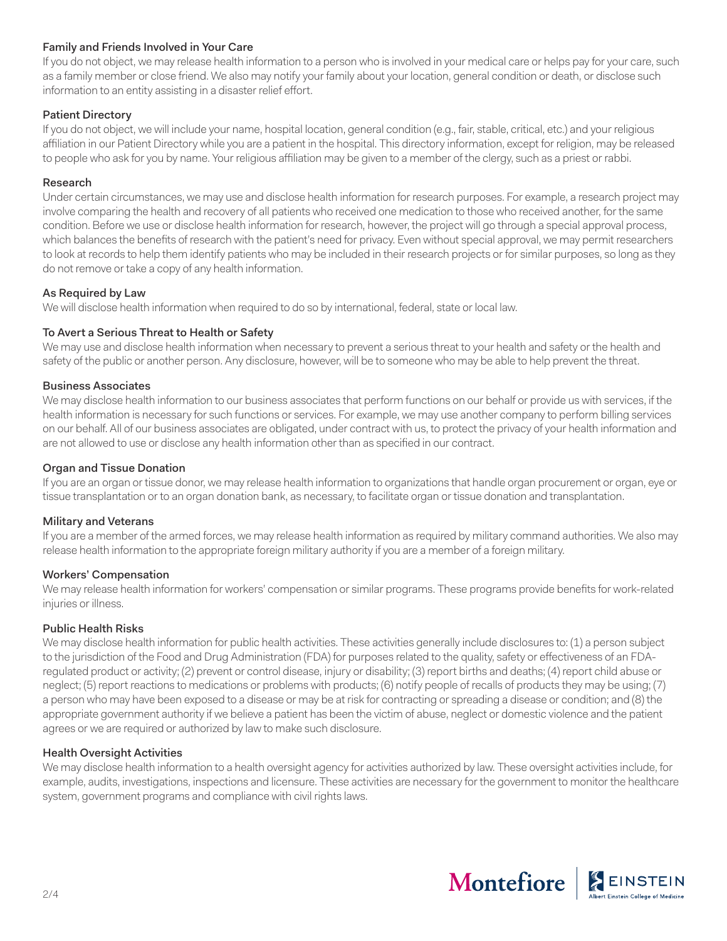# Family and Friends Involved in Your Care

If you do not object, we may release health information to a person who is involved in your medical care or helps pay for your care, such as a family member or close friend. We also may notify your family about your location, general condition or death, or disclose such information to an entity assisting in a disaster relief effort.

#### Patient Directory

If you do not object, we will include your name, hospital location, general condition (e.g., fair, stable, critical, etc.) and your religious affiliation in our Patient Directory while you are a patient in the hospital. This directory information, except for religion, may be released to people who ask for you by name. Your religious affiliation may be given to a member of the clergy, such as a priest or rabbi.

#### Research

Under certain circumstances, we may use and disclose health information for research purposes. For example, a research project may involve comparing the health and recovery of all patients who received one medication to those who received another, for the same condition. Before we use or disclose health information for research, however, the project will go through a special approval process, which balances the benefits of research with the patient's need for privacy. Even without special approval, we may permit researchers to look at records to help them identify patients who may be included in their research projects or for similar purposes, so long as they do not remove or take a copy of any health information.

#### As Required by Law

We will disclose health information when required to do so by international, federal, state or local law.

#### To Avert a Serious Threat to Health or Safety

We may use and disclose health information when necessary to prevent a serious threat to your health and safety or the health and safety of the public or another person. Any disclosure, however, will be to someone who may be able to help prevent the threat.

#### Business Associates

We may disclose health information to our business associates that perform functions on our behalf or provide us with services, if the health information is necessary for such functions or services. For example, we may use another company to perform billing services on our behalf. All of our business associates are obligated, under contract with us, to protect the privacy of your health information and are not allowed to use or disclose any health information other than as specified in our contract.

#### Organ and Tissue Donation

If you are an organ or tissue donor, we may release health information to organizations that handle organ procurement or organ, eye or tissue transplantation or to an organ donation bank, as necessary, to facilitate organ or tissue donation and transplantation.

#### Military and Veterans

If you are a member of the armed forces, we may release health information as required by military command authorities. We also may release health information to the appropriate foreign military authority if you are a member of a foreign military.

# Workers' Compensation

We may release health information for workers' compensation or similar programs. These programs provide benefits for work-related injuries or illness.

#### Public Health Risks

We may disclose health information for public health activities. These activities generally include disclosures to: (1) a person subject to the jurisdiction of the Food and Drug Administration (FDA) for purposes related to the quality, safety or effectiveness of an FDAregulated product or activity; (2) prevent or control disease, injury or disability; (3) report births and deaths; (4) report child abuse or neglect; (5) report reactions to medications or problems with products; (6) notify people of recalls of products they may be using; (7) a person who may have been exposed to a disease or may be at risk for contracting or spreading a disease or condition; and (8) the appropriate government authority if we believe a patient has been the victim of abuse, neglect or domestic violence and the patient agrees or we are required or authorized by law to make such disclosure.

# Health Oversight Activities

We may disclose health information to a health oversight agency for activities authorized by law. These oversight activities include, for example, audits, investigations, inspections and licensure. These activities are necessary for the government to monitor the healthcare system, government programs and compliance with civil rights laws.

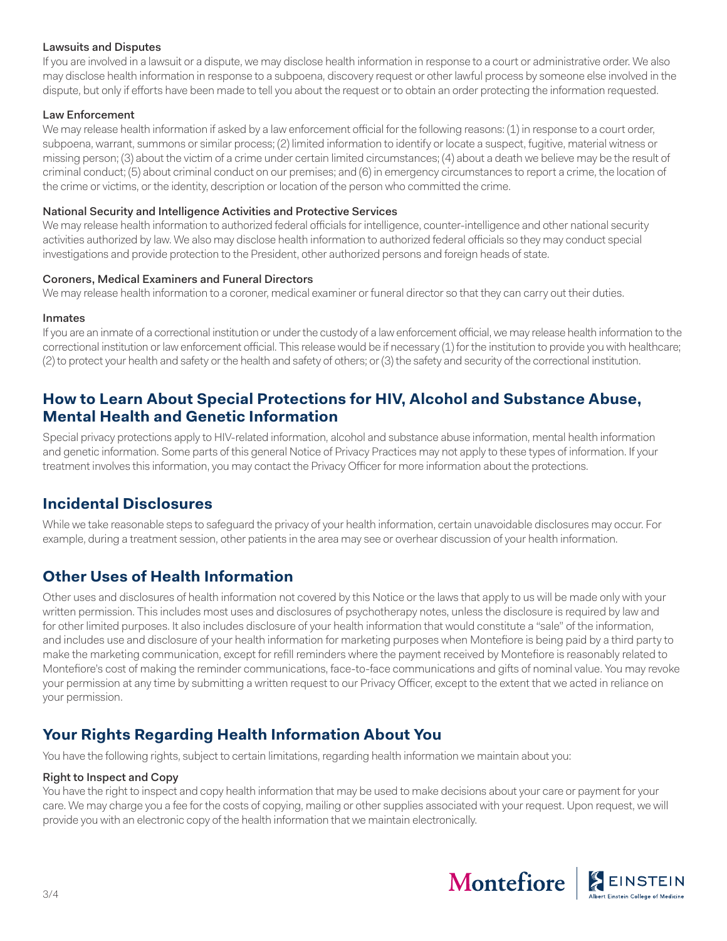#### Lawsuits and Disputes

If you are involved in a lawsuit or a dispute, we may disclose health information in response to a court or administrative order. We also may disclose health information in response to a subpoena, discovery request or other lawful process by someone else involved in the dispute, but only if efforts have been made to tell you about the request or to obtain an order protecting the information requested.

#### Law Enforcement

We may release health information if asked by a law enforcement official for the following reasons: (1) in response to a court order, subpoena, warrant, summons or similar process; (2) limited information to identify or locate a suspect, fugitive, material witness or missing person; (3) about the victim of a crime under certain limited circumstances; (4) about a death we believe may be the result of criminal conduct; (5) about criminal conduct on our premises; and (6) in emergency circumstances to report a crime, the location of the crime or victims, or the identity, description or location of the person who committed the crime.

#### National Security and Intelligence Activities and Protective Services

We may release health information to authorized federal officials for intelligence, counter-intelligence and other national security activities authorized by law. We also may disclose health information to authorized federal officials so they may conduct special investigations and provide protection to the President, other authorized persons and foreign heads of state.

#### Coroners, Medical Examiners and Funeral Directors

We may release health information to a coroner, medical examiner or funeral director so that they can carry out their duties.

#### Inmates

If you are an inmate of a correctional institution or under the custody of a law enforcement official, we may release health information to the correctional institution or law enforcement official. This release would be if necessary (1) for the institution to provide you with healthcare; (2) to protect your health and safety or the health and safety of others; or (3) the safety and security of the correctional institution.

# **How to Learn About Special Protections for HIV, Alcohol and Substance Abuse, Mental Health and Genetic Information**

Special privacy protections apply to HIV-related information, alcohol and substance abuse information, mental health information and genetic information. Some parts of this general Notice of Privacy Practices may not apply to these types of information. If your treatment involves this information, you may contact the Privacy Officer for more information about the protections.

# **Incidental Disclosures**

While we take reasonable steps to safeguard the privacy of your health information, certain unavoidable disclosures may occur. For example, during a treatment session, other patients in the area may see or overhear discussion of your health information.

# **Other Uses of Health Information**

Other uses and disclosures of health information not covered by this Notice or the laws that apply to us will be made only with your written permission. This includes most uses and disclosures of psychotherapy notes, unless the disclosure is required by law and for other limited purposes. It also includes disclosure of your health information that would constitute a "sale" of the information, and includes use and disclosure of your health information for marketing purposes when Montefiore is being paid by a third party to make the marketing communication, except for refill reminders where the payment received by Montefiore is reasonably related to Montefiore's cost of making the reminder communications, face-to-face communications and gifts of nominal value. You may revoke your permission at any time by submitting a written request to our Privacy Officer, except to the extent that we acted in reliance on your permission.

# **Your Rights Regarding Health Information About You**

You have the following rights, subject to certain limitations, regarding health information we maintain about you:

# Right to Inspect and Copy

You have the right to inspect and copy health information that may be used to make decisions about your care or payment for your care. We may charge you a fee for the costs of copying, mailing or other supplies associated with your request. Upon request, we will provide you with an electronic copy of the health information that we maintain electronically.